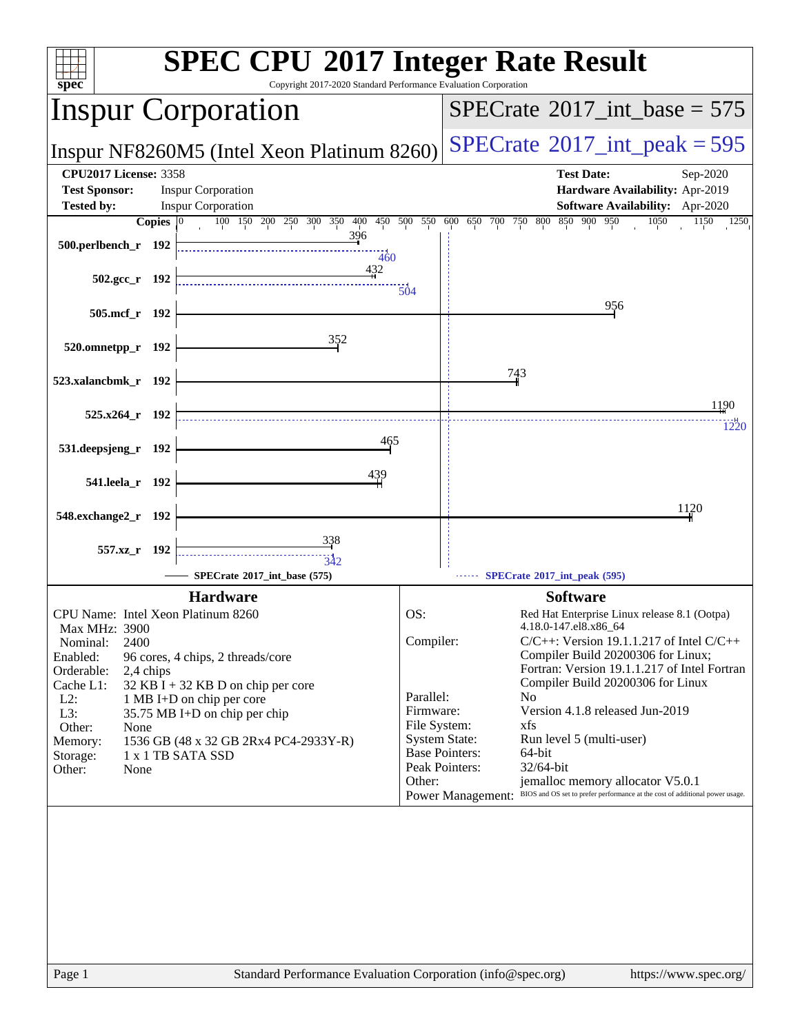| <b>SPEC CPU®2017 Integer Rate Result</b><br>Copyright 2017-2020 Standard Performance Evaluation Corporation                                                                                                                                                                                                                                                                                                                                                                                                                                                                                                                                                   |  |  |  |
|---------------------------------------------------------------------------------------------------------------------------------------------------------------------------------------------------------------------------------------------------------------------------------------------------------------------------------------------------------------------------------------------------------------------------------------------------------------------------------------------------------------------------------------------------------------------------------------------------------------------------------------------------------------|--|--|--|
| $SPECTate$ <sup>®</sup> 2017_int_base = 575                                                                                                                                                                                                                                                                                                                                                                                                                                                                                                                                                                                                                   |  |  |  |
| $SPECTate$ <sup>®</sup> 2017_int_peak = 595                                                                                                                                                                                                                                                                                                                                                                                                                                                                                                                                                                                                                   |  |  |  |
| <b>Test Date:</b><br>Sep-2020<br>Hardware Availability: Apr-2019<br><b>Software Availability:</b> Apr-2020<br>100 150 200 250 300 350 400 450 500 550 600 650 700 750 800 850 900 950<br>1050<br>1150<br>1250                                                                                                                                                                                                                                                                                                                                                                                                                                                 |  |  |  |
| 956                                                                                                                                                                                                                                                                                                                                                                                                                                                                                                                                                                                                                                                           |  |  |  |
| 743                                                                                                                                                                                                                                                                                                                                                                                                                                                                                                                                                                                                                                                           |  |  |  |
| 1190<br>1220                                                                                                                                                                                                                                                                                                                                                                                                                                                                                                                                                                                                                                                  |  |  |  |
|                                                                                                                                                                                                                                                                                                                                                                                                                                                                                                                                                                                                                                                               |  |  |  |
| 1120                                                                                                                                                                                                                                                                                                                                                                                                                                                                                                                                                                                                                                                          |  |  |  |
| SPECrate*2017_int_peak (595)                                                                                                                                                                                                                                                                                                                                                                                                                                                                                                                                                                                                                                  |  |  |  |
| <b>Software</b><br>Red Hat Enterprise Linux release 8.1 (Ootpa)<br>4.18.0-147.el8.x86_64<br>Compiler:<br>$C/C++$ : Version 19.1.1.217 of Intel $C/C++$<br>Compiler Build 20200306 for Linux;<br>Fortran: Version 19.1.1.217 of Intel Fortran<br>Compiler Build 20200306 for Linux<br>Parallel:<br>N <sub>0</sub><br>Firmware:<br>Version 4.1.8 released Jun-2019<br>File System:<br>xfs<br><b>System State:</b><br>Run level 5 (multi-user)<br><b>Base Pointers:</b><br>64-bit<br>Peak Pointers:<br>32/64-bit<br>jemalloc memory allocator V5.0.1<br>BIOS and OS set to prefer performance at the cost of additional power usage.<br><b>Power Management:</b> |  |  |  |
|                                                                                                                                                                                                                                                                                                                                                                                                                                                                                                                                                                                                                                                               |  |  |  |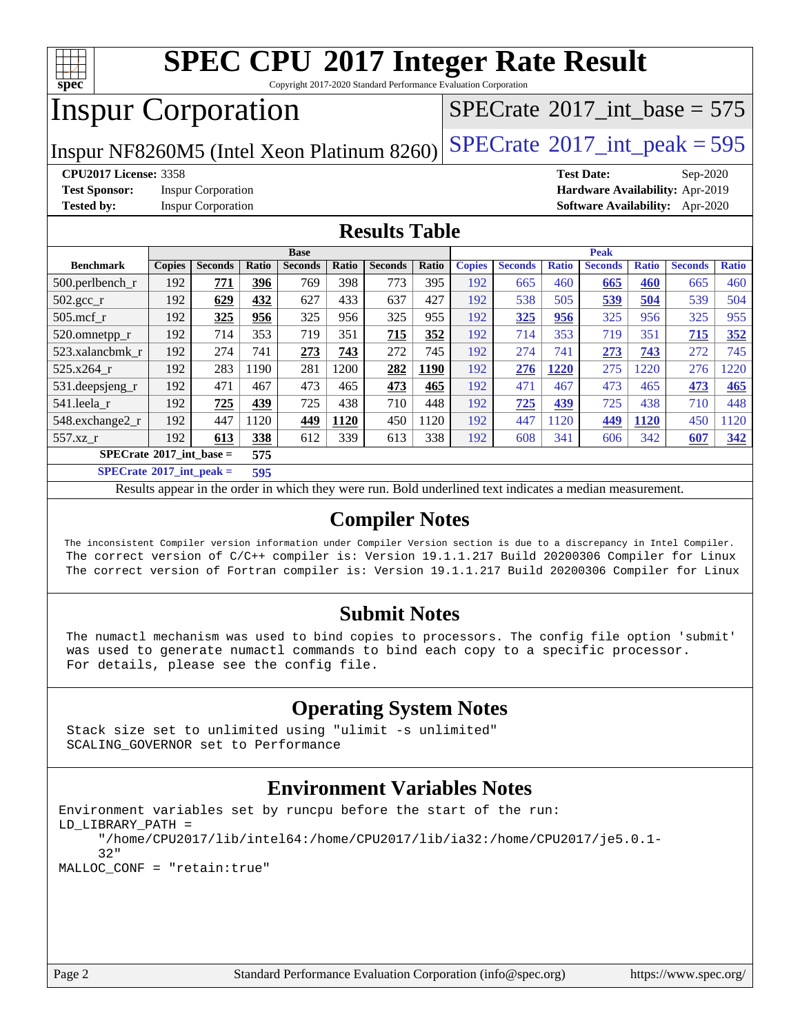

Copyright 2017-2020 Standard Performance Evaluation Corporation

## Inspur Corporation

 $SPECTate$ <sup>®</sup>[2017\\_int\\_base =](http://www.spec.org/auto/cpu2017/Docs/result-fields.html#SPECrate2017intbase) 575

Inspur NF8260M5 (Intel Xeon Platinum 8260) [SPECrate](http://www.spec.org/auto/cpu2017/Docs/result-fields.html#SPECrate2017intpeak)<sup>®</sup>[2017\\_int\\_peak = 5](http://www.spec.org/auto/cpu2017/Docs/result-fields.html#SPECrate2017intpeak)95

**[Test Sponsor:](http://www.spec.org/auto/cpu2017/Docs/result-fields.html#TestSponsor)** Inspur Corporation **[Hardware Availability:](http://www.spec.org/auto/cpu2017/Docs/result-fields.html#HardwareAvailability)** Apr-2019

**[CPU2017 License:](http://www.spec.org/auto/cpu2017/Docs/result-fields.html#CPU2017License)** 3358 **[Test Date:](http://www.spec.org/auto/cpu2017/Docs/result-fields.html#TestDate)** Sep-2020 **[Tested by:](http://www.spec.org/auto/cpu2017/Docs/result-fields.html#Testedby)** Inspur Corporation **[Software Availability:](http://www.spec.org/auto/cpu2017/Docs/result-fields.html#SoftwareAvailability)** Apr-2020

## **[Results Table](http://www.spec.org/auto/cpu2017/Docs/result-fields.html#ResultsTable)**

|                                          | <b>Base</b>   |                |              |                | <b>Peak</b> |                |       |               |                |              |                |              |                |              |
|------------------------------------------|---------------|----------------|--------------|----------------|-------------|----------------|-------|---------------|----------------|--------------|----------------|--------------|----------------|--------------|
| <b>Benchmark</b>                         | <b>Copies</b> | <b>Seconds</b> | <b>Ratio</b> | <b>Seconds</b> | Ratio       | <b>Seconds</b> | Ratio | <b>Copies</b> | <b>Seconds</b> | <b>Ratio</b> | <b>Seconds</b> | <b>Ratio</b> | <b>Seconds</b> | <b>Ratio</b> |
| $500.$ perlbench_r                       | 192           | 771            | 396          | 769            | 398         | 773            | 395   | 192           | 665            | 460          | 665            | 460          | 665            | 460          |
| $502.\text{gcc\_r}$                      | 192           | 629            | 432          | 627            | 433         | 637            | 427   | 192           | 538            | 505          | 539            | 504          | 539            | 504          |
| $505$ .mcf r                             | 192           | 325            | 956          | 325            | 956         | 325            | 955   | 192           | 325            | 956          | 325            | 956          | 325            | 955          |
| 520.omnetpp_r                            | 192           | 714            | 353          | 719            | 351         | 715            | 352   | 192           | 714            | 353          | 719            | 351          | 715            | 352          |
| 523.xalancbmk r                          | 192           | 274            | 741          | 273            | 743         | 272            | 745   | 192           | 274            | 741          | 273            | 743          | 272            | 745          |
| $525.x264$ r                             | 192           | 283            | 1190         | 281            | 200         | 282            | 1190  | 192           | 276            | 1220         | 275            | 220          | 276            | 1220         |
| 531.deepsjeng_r                          | 192           | 471            | 467          | 473            | 465         | 473            | 465   | 192           | 471            | 467          | 473            | 465          | 473            | 465          |
| 541.leela r                              | 192           | 725            | 439          | 725            | 438         | 710            | 448   | 192           | 725            | 439          | 725            | 438          | 710            | 448          |
| 548.exchange2_r                          | 192           | 447            | 1120         | 449            | 1120        | 450            | 120   | 192           | 447            | 1120         | 449            | 1120         | 450            | 1120         |
| 557.xz r                                 | 192           | 613            | 338          | 612            | 339         | 613            | 338   | 192           | 608            | 341          | 606            | 342          | 607            | 342          |
| $SPECrate^{\circ}2017$ int base =<br>575 |               |                |              |                |             |                |       |               |                |              |                |              |                |              |
| $CDDTO = 1.0047 + 1.$                    |               |                | ---          |                |             |                |       |               |                |              |                |              |                |              |

**[SPECrate](http://www.spec.org/auto/cpu2017/Docs/result-fields.html#SPECrate2017intpeak)[2017\\_int\\_peak =](http://www.spec.org/auto/cpu2017/Docs/result-fields.html#SPECrate2017intpeak) 595**

Results appear in the [order in which they were run](http://www.spec.org/auto/cpu2017/Docs/result-fields.html#RunOrder). Bold underlined text [indicates a median measurement](http://www.spec.org/auto/cpu2017/Docs/result-fields.html#Median).

## **[Compiler Notes](http://www.spec.org/auto/cpu2017/Docs/result-fields.html#CompilerNotes)**

 The inconsistent Compiler version information under Compiler Version section is due to a discrepancy in Intel Compiler. The correct version of C/C++ compiler is: Version 19.1.1.217 Build 20200306 Compiler for Linux The correct version of Fortran compiler is: Version 19.1.1.217 Build 20200306 Compiler for Linux

## **[Submit Notes](http://www.spec.org/auto/cpu2017/Docs/result-fields.html#SubmitNotes)**

 The numactl mechanism was used to bind copies to processors. The config file option 'submit' was used to generate numactl commands to bind each copy to a specific processor. For details, please see the config file.

## **[Operating System Notes](http://www.spec.org/auto/cpu2017/Docs/result-fields.html#OperatingSystemNotes)**

 Stack size set to unlimited using "ulimit -s unlimited" SCALING\_GOVERNOR set to Performance

## **[Environment Variables Notes](http://www.spec.org/auto/cpu2017/Docs/result-fields.html#EnvironmentVariablesNotes)**

```
Environment variables set by runcpu before the start of the run:
LD_LIBRARY_PATH =
      "/home/CPU2017/lib/intel64:/home/CPU2017/lib/ia32:/home/CPU2017/je5.0.1-
      32"
MALLOC_CONF = "retain:true"
```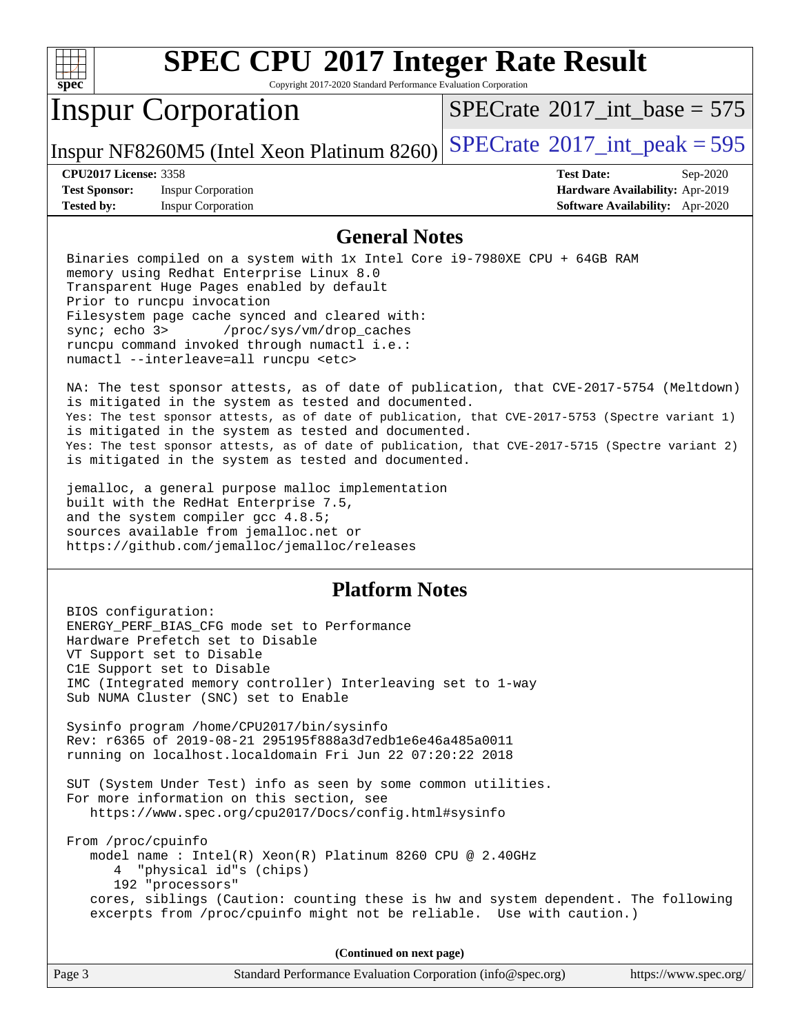

Copyright 2017-2020 Standard Performance Evaluation Corporation

## Inspur Corporation

 $SPECTate$ <sup>®</sup>[2017\\_int\\_base =](http://www.spec.org/auto/cpu2017/Docs/result-fields.html#SPECrate2017intbase) 575

Inspur NF8260M5 (Intel Xeon Platinum 8260)  $SPECrate^{\circ}2017\_int\_peak = 595$  $SPECrate^{\circ}2017\_int\_peak = 595$ 

**[Test Sponsor:](http://www.spec.org/auto/cpu2017/Docs/result-fields.html#TestSponsor)** Inspur Corporation **[Hardware Availability:](http://www.spec.org/auto/cpu2017/Docs/result-fields.html#HardwareAvailability)** Apr-2019 **[Tested by:](http://www.spec.org/auto/cpu2017/Docs/result-fields.html#Testedby)** Inspur Corporation **[Software Availability:](http://www.spec.org/auto/cpu2017/Docs/result-fields.html#SoftwareAvailability)** Apr-2020

**[CPU2017 License:](http://www.spec.org/auto/cpu2017/Docs/result-fields.html#CPU2017License)** 3358 **[Test Date:](http://www.spec.org/auto/cpu2017/Docs/result-fields.html#TestDate)** Sep-2020

### **[General Notes](http://www.spec.org/auto/cpu2017/Docs/result-fields.html#GeneralNotes)**

 Binaries compiled on a system with 1x Intel Core i9-7980XE CPU + 64GB RAM memory using Redhat Enterprise Linux 8.0 Transparent Huge Pages enabled by default Prior to runcpu invocation Filesystem page cache synced and cleared with: sync; echo 3> /proc/sys/vm/drop\_caches runcpu command invoked through numactl i.e.: numactl --interleave=all runcpu <etc>

 NA: The test sponsor attests, as of date of publication, that CVE-2017-5754 (Meltdown) is mitigated in the system as tested and documented. Yes: The test sponsor attests, as of date of publication, that CVE-2017-5753 (Spectre variant 1) is mitigated in the system as tested and documented. Yes: The test sponsor attests, as of date of publication, that CVE-2017-5715 (Spectre variant 2) is mitigated in the system as tested and documented.

 jemalloc, a general purpose malloc implementation built with the RedHat Enterprise 7.5, and the system compiler gcc 4.8.5; sources available from jemalloc.net or <https://github.com/jemalloc/jemalloc/releases>

## **[Platform Notes](http://www.spec.org/auto/cpu2017/Docs/result-fields.html#PlatformNotes)**

 BIOS configuration: ENERGY\_PERF\_BIAS\_CFG mode set to Performance Hardware Prefetch set to Disable VT Support set to Disable C1E Support set to Disable IMC (Integrated memory controller) Interleaving set to 1-way Sub NUMA Cluster (SNC) set to Enable Sysinfo program /home/CPU2017/bin/sysinfo Rev: r6365 of 2019-08-21 295195f888a3d7edb1e6e46a485a0011 running on localhost.localdomain Fri Jun 22 07:20:22 2018 SUT (System Under Test) info as seen by some common utilities. For more information on this section, see <https://www.spec.org/cpu2017/Docs/config.html#sysinfo> From /proc/cpuinfo model name : Intel(R) Xeon(R) Platinum 8260 CPU @ 2.40GHz 4 "physical id"s (chips) 192 "processors" cores, siblings (Caution: counting these is hw and system dependent. The following excerpts from /proc/cpuinfo might not be reliable. Use with caution.)

**(Continued on next page)**

| Page 3<br>Standard Performance Evaluation Corporation (info@spec.org)<br>https://www.spec.org/ |
|------------------------------------------------------------------------------------------------|
|------------------------------------------------------------------------------------------------|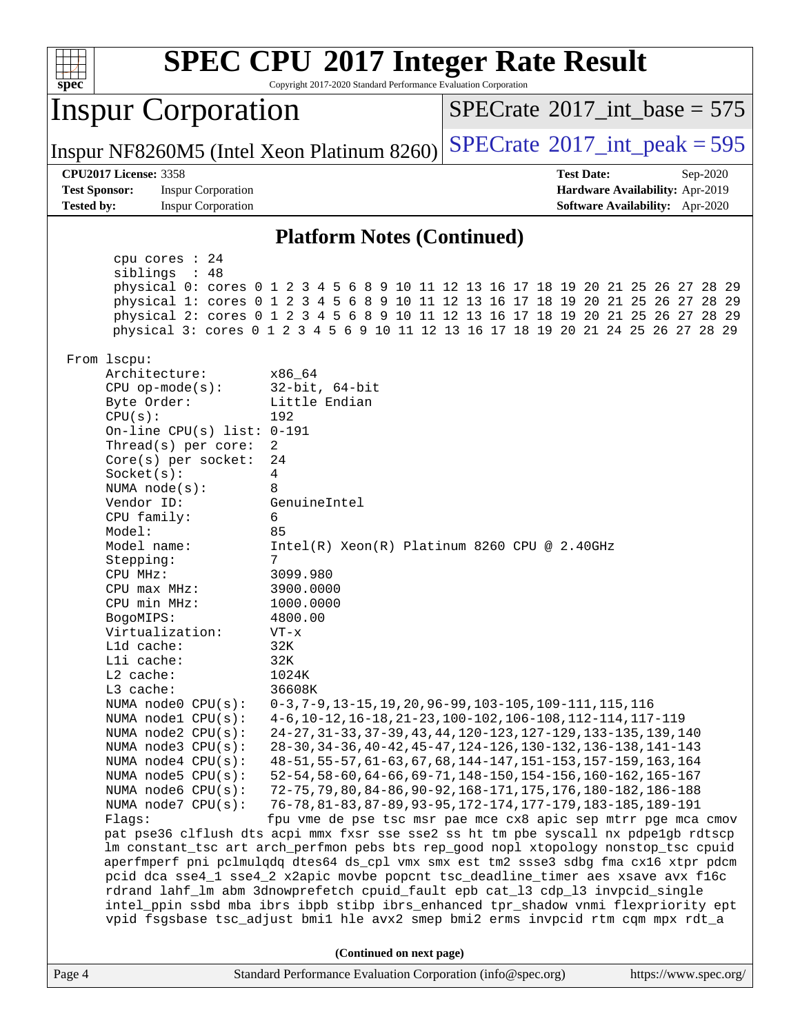| <b>SPEC CPU®2017 Integer Rate Result</b><br>Copyright 2017-2020 Standard Performance Evaluation Corporation<br>spec <sup>®</sup>                                                                                                                                                                                                                                                                                                                                                                                                                                                                                                                                                                                                                                                                                        |                                                                                                                                                                                                                                                                                                                                                                                                                                                                                                                                                                                                                                                                                                                                                                                                                                                                                                                                                                                                                                                                                                                                                                                                                                                                                       |  |  |  |  |  |  |  |
|-------------------------------------------------------------------------------------------------------------------------------------------------------------------------------------------------------------------------------------------------------------------------------------------------------------------------------------------------------------------------------------------------------------------------------------------------------------------------------------------------------------------------------------------------------------------------------------------------------------------------------------------------------------------------------------------------------------------------------------------------------------------------------------------------------------------------|---------------------------------------------------------------------------------------------------------------------------------------------------------------------------------------------------------------------------------------------------------------------------------------------------------------------------------------------------------------------------------------------------------------------------------------------------------------------------------------------------------------------------------------------------------------------------------------------------------------------------------------------------------------------------------------------------------------------------------------------------------------------------------------------------------------------------------------------------------------------------------------------------------------------------------------------------------------------------------------------------------------------------------------------------------------------------------------------------------------------------------------------------------------------------------------------------------------------------------------------------------------------------------------|--|--|--|--|--|--|--|
| <b>Inspur Corporation</b>                                                                                                                                                                                                                                                                                                                                                                                                                                                                                                                                                                                                                                                                                                                                                                                               | $SPECrate^{\circledast}2017\_int\_base = 575$                                                                                                                                                                                                                                                                                                                                                                                                                                                                                                                                                                                                                                                                                                                                                                                                                                                                                                                                                                                                                                                                                                                                                                                                                                         |  |  |  |  |  |  |  |
| Inspur NF8260M5 (Intel Xeon Platinum 8260)                                                                                                                                                                                                                                                                                                                                                                                                                                                                                                                                                                                                                                                                                                                                                                              | $SPECTate$ <sup>®</sup> 2017_int_peak = 595                                                                                                                                                                                                                                                                                                                                                                                                                                                                                                                                                                                                                                                                                                                                                                                                                                                                                                                                                                                                                                                                                                                                                                                                                                           |  |  |  |  |  |  |  |
| <b>CPU2017 License: 3358</b><br><b>Test Sponsor:</b><br><b>Inspur Corporation</b><br><b>Tested by:</b><br><b>Inspur Corporation</b>                                                                                                                                                                                                                                                                                                                                                                                                                                                                                                                                                                                                                                                                                     | <b>Test Date:</b><br>Sep-2020<br>Hardware Availability: Apr-2019<br><b>Software Availability:</b> Apr-2020                                                                                                                                                                                                                                                                                                                                                                                                                                                                                                                                                                                                                                                                                                                                                                                                                                                                                                                                                                                                                                                                                                                                                                            |  |  |  |  |  |  |  |
|                                                                                                                                                                                                                                                                                                                                                                                                                                                                                                                                                                                                                                                                                                                                                                                                                         |                                                                                                                                                                                                                                                                                                                                                                                                                                                                                                                                                                                                                                                                                                                                                                                                                                                                                                                                                                                                                                                                                                                                                                                                                                                                                       |  |  |  |  |  |  |  |
| <b>Platform Notes (Continued)</b>                                                                                                                                                                                                                                                                                                                                                                                                                                                                                                                                                                                                                                                                                                                                                                                       |                                                                                                                                                                                                                                                                                                                                                                                                                                                                                                                                                                                                                                                                                                                                                                                                                                                                                                                                                                                                                                                                                                                                                                                                                                                                                       |  |  |  |  |  |  |  |
| cpu cores : 24<br>siblings : 48                                                                                                                                                                                                                                                                                                                                                                                                                                                                                                                                                                                                                                                                                                                                                                                         | physical 0: cores 0 1 2 3 4 5 6 8 9 10 11 12 13 16 17 18 19 20 21 25 26 27 28 29<br>physical 1: cores 0 1 2 3 4 5 6 8 9 10 11 12 13 16 17 18 19 20 21 25 26 27 28 29<br>physical 2: cores 0 1 2 3 4 5 6 8 9 10 11 12 13 16 17 18 19 20 21 25 26 27 28 29<br>physical 3: cores 0 1 2 3 4 5 6 9 10 11 12 13 16 17 18 19 20 21 24 25 26 27 28 29                                                                                                                                                                                                                                                                                                                                                                                                                                                                                                                                                                                                                                                                                                                                                                                                                                                                                                                                         |  |  |  |  |  |  |  |
| From lscpu:<br>Architecture:<br>x86_64<br>$32$ -bit, $64$ -bit<br>$CPU$ op-mode( $s$ ):<br>Little Endian<br>Byte Order:<br>CPU(s):<br>192<br>On-line CPU(s) list: 0-191<br>$\overline{2}$<br>Thread(s) per core:<br>$Core(s)$ per socket:<br>24<br>4<br>Socket(s):<br>NUMA $node(s):$<br>8<br>Vendor ID:<br>GenuineIntel<br>CPU family:<br>6<br>Model:<br>85<br>Model name:<br>7<br>Stepping:<br>CPU MHz:<br>3099.980<br>3900.0000<br>CPU max MHz:<br>CPU min MHz:<br>1000.0000<br>4800.00<br>BogoMIPS:<br>Virtualization:<br>$VT - x$<br>L1d cache:<br>32K<br>Lli cache:<br>32K<br>L2 cache:<br>1024K<br>L3 cache:<br>36608K<br>NUMA node0 CPU(s):<br>NUMA nodel CPU(s):<br>NUMA node2 CPU(s):<br>NUMA node3 CPU(s):<br>NUMA node4 CPU(s):<br>NUMA node5 CPU(s):<br>NUMA node6 CPU(s):<br>NUMA node7 CPU(s):<br>Flags: | $Intel(R) Xeon(R) Platinum 8260 CPU @ 2.40GHz$<br>$0-3, 7-9, 13-15, 19, 20, 96-99, 103-105, 109-111, 115, 116$<br>4-6, 10-12, 16-18, 21-23, 100-102, 106-108, 112-114, 117-119<br>24-27, 31-33, 37-39, 43, 44, 120-123, 127-129, 133-135, 139, 140<br>28-30, 34-36, 40-42, 45-47, 124-126, 130-132, 136-138, 141-143<br>48-51, 55-57, 61-63, 67, 68, 144-147, 151-153, 157-159, 163, 164<br>52-54, 58-60, 64-66, 69-71, 148-150, 154-156, 160-162, 165-167<br>72-75, 79, 80, 84-86, 90-92, 168-171, 175, 176, 180-182, 186-188<br>76-78, 81-83, 87-89, 93-95, 172-174, 177-179, 183-185, 189-191<br>fpu vme de pse tsc msr pae mce cx8 apic sep mtrr pge mca cmov<br>pat pse36 clflush dts acpi mmx fxsr sse sse2 ss ht tm pbe syscall nx pdpelgb rdtscp<br>lm constant_tsc art arch_perfmon pebs bts rep_good nopl xtopology nonstop_tsc cpuid<br>aperfmperf pni pclmulqdq dtes64 ds_cpl vmx smx est tm2 ssse3 sdbg fma cx16 xtpr pdcm<br>pcid dca sse4_1 sse4_2 x2apic movbe popcnt tsc_deadline_timer aes xsave avx f16c<br>rdrand lahf_lm abm 3dnowprefetch cpuid_fault epb cat_13 cdp_13 invpcid_single<br>intel_ppin ssbd mba ibrs ibpb stibp ibrs_enhanced tpr_shadow vnmi flexpriority ept<br>vpid fsgsbase tsc_adjust bmil hle avx2 smep bmi2 erms invpcid rtm cqm mpx rdt_a |  |  |  |  |  |  |  |
| (Continued on next page)                                                                                                                                                                                                                                                                                                                                                                                                                                                                                                                                                                                                                                                                                                                                                                                                |                                                                                                                                                                                                                                                                                                                                                                                                                                                                                                                                                                                                                                                                                                                                                                                                                                                                                                                                                                                                                                                                                                                                                                                                                                                                                       |  |  |  |  |  |  |  |
| Page 4                                                                                                                                                                                                                                                                                                                                                                                                                                                                                                                                                                                                                                                                                                                                                                                                                  | Standard Performance Evaluation Corporation (info@spec.org)<br>https://www.spec.org/                                                                                                                                                                                                                                                                                                                                                                                                                                                                                                                                                                                                                                                                                                                                                                                                                                                                                                                                                                                                                                                                                                                                                                                                  |  |  |  |  |  |  |  |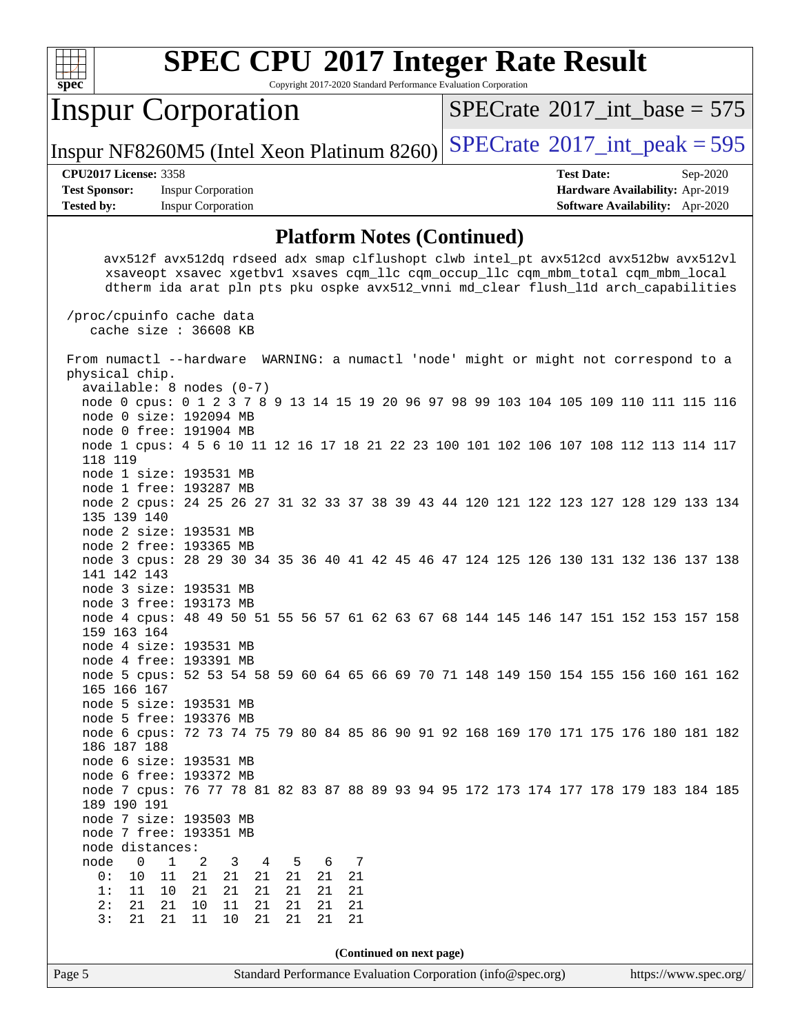

Copyright 2017-2020 Standard Performance Evaluation Corporation

## Inspur Corporation

 $SPECrate$ <sup>®</sup>[2017\\_int\\_base =](http://www.spec.org/auto/cpu2017/Docs/result-fields.html#SPECrate2017intbase) 575

Inspur NF8260M5 (Intel Xeon Platinum 8260)  $SPECrate^{\circ}2017\_int\_peak = 595$  $SPECrate^{\circ}2017\_int\_peak = 595$ 

**[Test Sponsor:](http://www.spec.org/auto/cpu2017/Docs/result-fields.html#TestSponsor)** Inspur Corporation **[Hardware Availability:](http://www.spec.org/auto/cpu2017/Docs/result-fields.html#HardwareAvailability)** Apr-2019 **[Tested by:](http://www.spec.org/auto/cpu2017/Docs/result-fields.html#Testedby)** Inspur Corporation **[Software Availability:](http://www.spec.org/auto/cpu2017/Docs/result-fields.html#SoftwareAvailability)** Apr-2020

**[CPU2017 License:](http://www.spec.org/auto/cpu2017/Docs/result-fields.html#CPU2017License)** 3358 **[Test Date:](http://www.spec.org/auto/cpu2017/Docs/result-fields.html#TestDate)** Sep-2020

#### **[Platform Notes \(Continued\)](http://www.spec.org/auto/cpu2017/Docs/result-fields.html#PlatformNotes)**

 avx512f avx512dq rdseed adx smap clflushopt clwb intel\_pt avx512cd avx512bw avx512vl xsaveopt xsavec xgetbv1 xsaves cqm\_llc cqm\_occup\_llc cqm\_mbm\_total cqm\_mbm\_local dtherm ida arat pln pts pku ospke avx512\_vnni md\_clear flush\_l1d arch\_capabilities

 /proc/cpuinfo cache data cache size : 36608 KB

Page 5 Standard Performance Evaluation Corporation [\(info@spec.org\)](mailto:info@spec.org) <https://www.spec.org/> From numactl --hardware WARNING: a numactl 'node' might or might not correspond to a physical chip. available: 8 nodes (0-7) node 0 cpus: 0 1 2 3 7 8 9 13 14 15 19 20 96 97 98 99 103 104 105 109 110 111 115 116 node 0 size: 192094 MB node 0 free: 191904 MB node 1 cpus: 4 5 6 10 11 12 16 17 18 21 22 23 100 101 102 106 107 108 112 113 114 117 118 119 node 1 size: 193531 MB node 1 free: 193287 MB node 2 cpus: 24 25 26 27 31 32 33 37 38 39 43 44 120 121 122 123 127 128 129 133 134 135 139 140 node 2 size: 193531 MB node 2 free: 193365 MB node 3 cpus: 28 29 30 34 35 36 40 41 42 45 46 47 124 125 126 130 131 132 136 137 138 141 142 143 node 3 size: 193531 MB node 3 free: 193173 MB node 4 cpus: 48 49 50 51 55 56 57 61 62 63 67 68 144 145 146 147 151 152 153 157 158 159 163 164 node 4 size: 193531 MB node 4 free: 193391 MB node 5 cpus: 52 53 54 58 59 60 64 65 66 69 70 71 148 149 150 154 155 156 160 161 162 165 166 167 node 5 size: 193531 MB node 5 free: 193376 MB node 6 cpus: 72 73 74 75 79 80 84 85 86 90 91 92 168 169 170 171 175 176 180 181 182 186 187 188 node 6 size: 193531 MB node 6 free: 193372 MB node 7 cpus: 76 77 78 81 82 83 87 88 89 93 94 95 172 173 174 177 178 179 183 184 185 189 190 191 node 7 size: 193503 MB node 7 free: 193351 MB node distances:<br>node 0 1 node 0 1 2 3 4 5 6 7 0: 10 11 21 21 21 21 21 21 1: 11 10 21 21 21 21 21 21 2: 21 21 10 11 21 21 21 21 3: 21 21 11 10 21 21 21 21 **(Continued on next page)**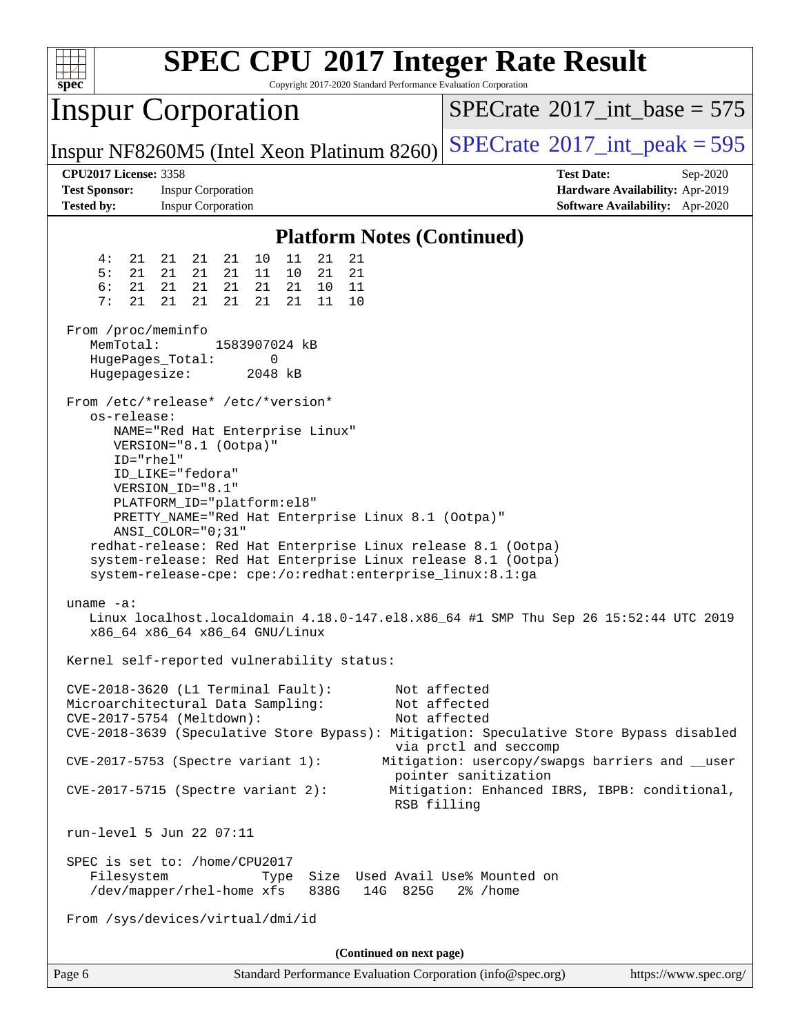| spec <sup>®</sup>                                                         | <b>SPEC CPU®2017 Integer Rate Result</b><br>Copyright 2017-2020 Standard Performance Evaluation Corporation                                                                                                                                                                                                                                                                                                                                  |                                                                                                                                                                                                                                                                                              |  |  |  |  |  |  |
|---------------------------------------------------------------------------|----------------------------------------------------------------------------------------------------------------------------------------------------------------------------------------------------------------------------------------------------------------------------------------------------------------------------------------------------------------------------------------------------------------------------------------------|----------------------------------------------------------------------------------------------------------------------------------------------------------------------------------------------------------------------------------------------------------------------------------------------|--|--|--|--|--|--|
|                                                                           | <b>Inspur Corporation</b>                                                                                                                                                                                                                                                                                                                                                                                                                    | $SPECTate$ <sup>®</sup> 2017_int_base = 575                                                                                                                                                                                                                                                  |  |  |  |  |  |  |
|                                                                           | Inspur NF8260M5 (Intel Xeon Platinum 8260)                                                                                                                                                                                                                                                                                                                                                                                                   | $SPECTate$ <sup>®</sup> 2017_int_peak = 595                                                                                                                                                                                                                                                  |  |  |  |  |  |  |
| <b>CPU2017 License: 3358</b><br><b>Test Sponsor:</b><br><b>Tested by:</b> | <b>Inspur Corporation</b><br><b>Inspur Corporation</b>                                                                                                                                                                                                                                                                                                                                                                                       | <b>Test Date:</b><br>Sep-2020<br>Hardware Availability: Apr-2019<br>Software Availability: Apr-2020                                                                                                                                                                                          |  |  |  |  |  |  |
| <b>Platform Notes (Continued)</b>                                         |                                                                                                                                                                                                                                                                                                                                                                                                                                              |                                                                                                                                                                                                                                                                                              |  |  |  |  |  |  |
| 4 :<br>21<br>5:<br>21<br>6:<br>21<br>7:<br>21                             | 21<br>10<br>11<br>21<br>21<br>21<br>21<br>21<br>21<br>21<br>21<br>11<br>10<br>21<br>21<br>21<br>21<br>21<br>21<br>10<br>11<br>21<br>21<br>21<br>21<br>21<br>11<br>10                                                                                                                                                                                                                                                                         |                                                                                                                                                                                                                                                                                              |  |  |  |  |  |  |
| From /proc/meminfo<br>MemTotal:<br>HugePages_Total:<br>Hugepagesize:      | 1583907024 kB<br>0<br>2048 kB                                                                                                                                                                                                                                                                                                                                                                                                                |                                                                                                                                                                                                                                                                                              |  |  |  |  |  |  |
| os-release:<br>ID="rhel"                                                  | From /etc/*release* /etc/*version*<br>NAME="Red Hat Enterprise Linux"<br>VERSION="8.1 (Ootpa)"<br>ID LIKE="fedora"<br>VERSION_ID="8.1"<br>PLATFORM_ID="platform:el8"<br>PRETTY_NAME="Red Hat Enterprise Linux 8.1 (Ootpa)"<br>ANSI_COLOR="0;31"<br>redhat-release: Red Hat Enterprise Linux release 8.1 (Ootpa)<br>system-release: Red Hat Enterprise Linux release 8.1 (Ootpa)<br>system-release-cpe: cpe:/o:redhat:enterprise_linux:8.1:ga |                                                                                                                                                                                                                                                                                              |  |  |  |  |  |  |
| $uname -a$ :                                                              | x86_64 x86_64 x86_64 GNU/Linux<br>Kernel self-reported vulnerability status:                                                                                                                                                                                                                                                                                                                                                                 | Linux localhost.localdomain 4.18.0-147.el8.x86_64 #1 SMP Thu Sep 26 15:52:44 UTC 2019                                                                                                                                                                                                        |  |  |  |  |  |  |
|                                                                           | CVE-2018-3620 (L1 Terminal Fault):<br>Microarchitectural Data Sampling:<br>CVE-2017-5754 (Meltdown):<br>CVE-2017-5753 (Spectre variant 1):<br>$CVE-2017-5715$ (Spectre variant 2):                                                                                                                                                                                                                                                           | Not affected<br>Not affected<br>Not affected<br>CVE-2018-3639 (Speculative Store Bypass): Mitigation: Speculative Store Bypass disabled<br>via prctl and seccomp<br>Mitigation: usercopy/swapgs barriers and __user<br>pointer sanitization<br>Mitigation: Enhanced IBRS, IBPB: conditional, |  |  |  |  |  |  |
|                                                                           | RSB filling<br>run-level 5 Jun 22 07:11                                                                                                                                                                                                                                                                                                                                                                                                      |                                                                                                                                                                                                                                                                                              |  |  |  |  |  |  |
| Filesystem                                                                | SPEC is set to: /home/CPU2017<br>Size Used Avail Use% Mounted on<br>Type<br>/dev/mapper/rhel-home xfs<br>838G<br>14G 825G<br>From /sys/devices/virtual/dmi/id                                                                                                                                                                                                                                                                                | $2\%$ /home                                                                                                                                                                                                                                                                                  |  |  |  |  |  |  |
|                                                                           | (Continued on next page)                                                                                                                                                                                                                                                                                                                                                                                                                     |                                                                                                                                                                                                                                                                                              |  |  |  |  |  |  |
| Page 6                                                                    | Standard Performance Evaluation Corporation (info@spec.org)                                                                                                                                                                                                                                                                                                                                                                                  | https://www.spec.org/                                                                                                                                                                                                                                                                        |  |  |  |  |  |  |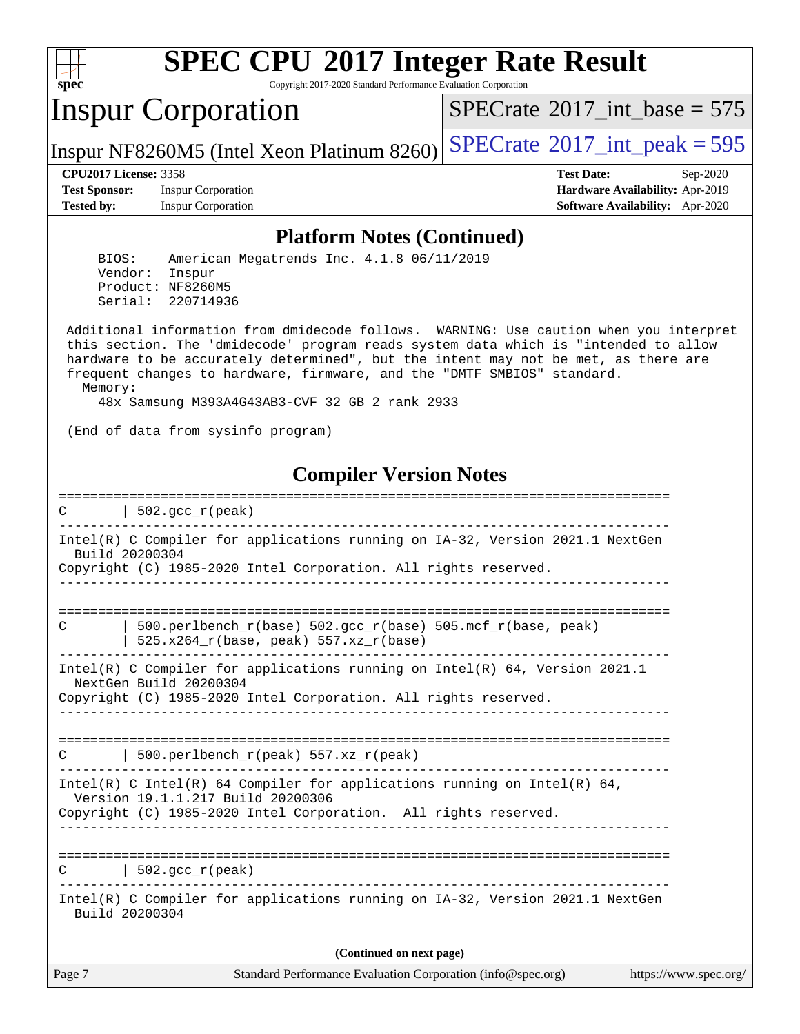

Copyright 2017-2020 Standard Performance Evaluation Corporation

## Inspur Corporation

 $SPECTate$ <sup>®</sup>[2017\\_int\\_base =](http://www.spec.org/auto/cpu2017/Docs/result-fields.html#SPECrate2017intbase) 575

Inspur NF8260M5 (Intel Xeon Platinum 8260)  $SPECrate^{\circ}2017\_int\_peak = 595$  $SPECrate^{\circ}2017\_int\_peak = 595$ 

**[Test Sponsor:](http://www.spec.org/auto/cpu2017/Docs/result-fields.html#TestSponsor)** Inspur Corporation **[Hardware Availability:](http://www.spec.org/auto/cpu2017/Docs/result-fields.html#HardwareAvailability)** Apr-2019 **[Tested by:](http://www.spec.org/auto/cpu2017/Docs/result-fields.html#Testedby)** Inspur Corporation **[Software Availability:](http://www.spec.org/auto/cpu2017/Docs/result-fields.html#SoftwareAvailability)** Apr-2020

**[CPU2017 License:](http://www.spec.org/auto/cpu2017/Docs/result-fields.html#CPU2017License)** 3358 **[Test Date:](http://www.spec.org/auto/cpu2017/Docs/result-fields.html#TestDate)** Sep-2020

#### **[Platform Notes \(Continued\)](http://www.spec.org/auto/cpu2017/Docs/result-fields.html#PlatformNotes)**

 BIOS: American Megatrends Inc. 4.1.8 06/11/2019 Vendor: Inspur Product: NF8260M5 Serial: 220714936

 Additional information from dmidecode follows. WARNING: Use caution when you interpret this section. The 'dmidecode' program reads system data which is "intended to allow hardware to be accurately determined", but the intent may not be met, as there are frequent changes to hardware, firmware, and the "DMTF SMBIOS" standard. Memory:

48x Samsung M393A4G43AB3-CVF 32 GB 2 rank 2933

(End of data from sysinfo program)

### **[Compiler Version Notes](http://www.spec.org/auto/cpu2017/Docs/result-fields.html#CompilerVersionNotes)**

Page 7 Standard Performance Evaluation Corporation [\(info@spec.org\)](mailto:info@spec.org) <https://www.spec.org/> ==============================================================================  $C \qquad \qquad \vert$  502.gcc  $r(\text{peak})$ ------------------------------------------------------------------------------ Intel(R) C Compiler for applications running on IA-32, Version 2021.1 NextGen Build 20200304 Copyright (C) 1985-2020 Intel Corporation. All rights reserved. ------------------------------------------------------------------------------ ============================================================================== C  $\vert$  500.perlbench\_r(base) 502.gcc\_r(base) 505.mcf\_r(base, peak)  $| 525.x264_r(base, peak) 557.xz_r(base)$ ------------------------------------------------------------------------------ Intel(R) C Compiler for applications running on Intel(R) 64, Version 2021.1 NextGen Build 20200304 Copyright (C) 1985-2020 Intel Corporation. All rights reserved. ------------------------------------------------------------------------------ ==============================================================================  $C$  | 500.perlbench\_r(peak) 557.xz\_r(peak) ------------------------------------------------------------------------------ Intel(R) C Intel(R) 64 Compiler for applications running on Intel(R) 64, Version 19.1.1.217 Build 20200306 Copyright (C) 1985-2020 Intel Corporation. All rights reserved. ------------------------------------------------------------------------------ ==============================================================================  $C \qquad \qquad \vert \quad 502.\text{gcc\_r}(\text{peak})$ ------------------------------------------------------------------------------ Intel(R) C Compiler for applications running on IA-32, Version 2021.1 NextGen Build 20200304 **(Continued on next page)**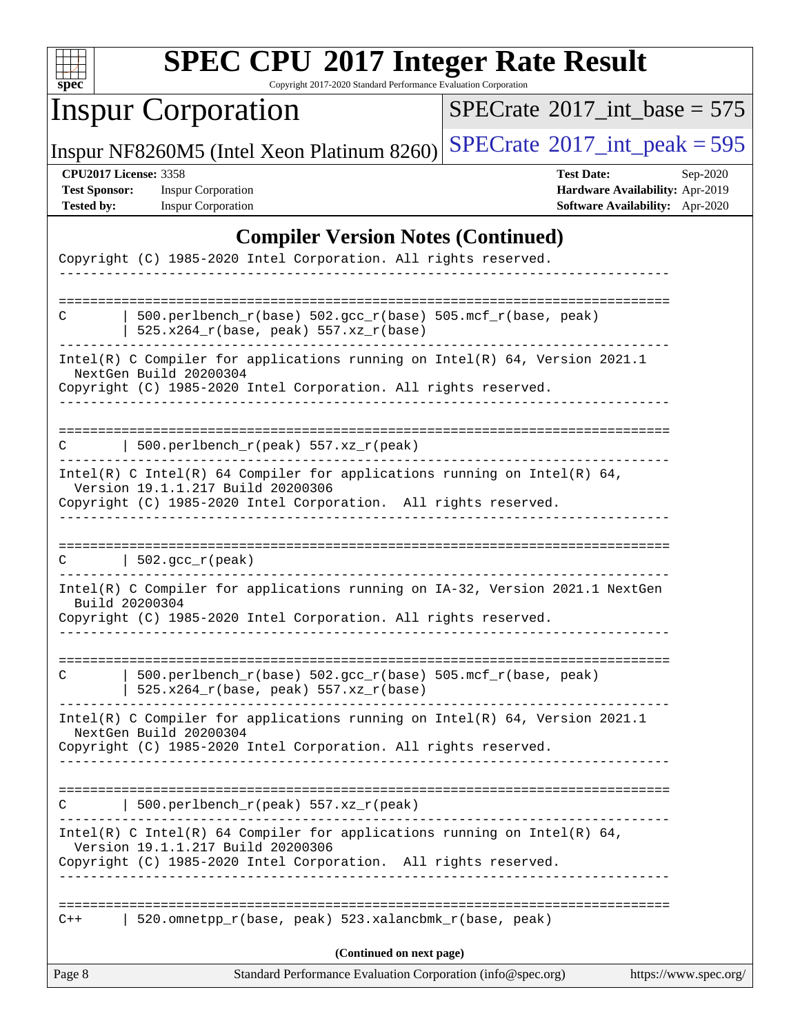

Copyright 2017-2020 Standard Performance Evaluation Corporation

# Inspur Corporation

 $SPECrate$ <sup>®</sup>[2017\\_int\\_base =](http://www.spec.org/auto/cpu2017/Docs/result-fields.html#SPECrate2017intbase) 575

Inspur NF8260M5 (Intel Xeon Platinum 8260) [SPECrate](http://www.spec.org/auto/cpu2017/Docs/result-fields.html#SPECrate2017intpeak)<sup>®</sup>[2017\\_int\\_peak = 5](http://www.spec.org/auto/cpu2017/Docs/result-fields.html#SPECrate2017intpeak)95

**[Test Sponsor:](http://www.spec.org/auto/cpu2017/Docs/result-fields.html#TestSponsor)** Inspur Corporation **[Hardware Availability:](http://www.spec.org/auto/cpu2017/Docs/result-fields.html#HardwareAvailability)** Apr-2019

**[CPU2017 License:](http://www.spec.org/auto/cpu2017/Docs/result-fields.html#CPU2017License)** 3358 **[Test Date:](http://www.spec.org/auto/cpu2017/Docs/result-fields.html#TestDate)** Sep-2020 **[Tested by:](http://www.spec.org/auto/cpu2017/Docs/result-fields.html#Testedby)** Inspur Corporation **[Software Availability:](http://www.spec.org/auto/cpu2017/Docs/result-fields.html#SoftwareAvailability)** Apr-2020

## **[Compiler Version Notes \(Continued\)](http://www.spec.org/auto/cpu2017/Docs/result-fields.html#CompilerVersionNotes)**

| Standard Performance Evaluation Corporation (info@spec.org)<br>Page 8                                                                                                            | https://www.spec.org/ |
|----------------------------------------------------------------------------------------------------------------------------------------------------------------------------------|-----------------------|
| (Continued on next page)                                                                                                                                                         |                       |
| 520.omnetpp_r(base, peak) 523.xalancbmk_r(base, peak)<br>$C++$                                                                                                                   |                       |
|                                                                                                                                                                                  |                       |
| Intel(R) C Intel(R) 64 Compiler for applications running on Intel(R) 64,<br>Version 19.1.1.217 Build 20200306<br>Copyright (C) 1985-2020 Intel Corporation. All rights reserved. |                       |
| 500.perlbench_r(peak) 557.xz_r(peak)                                                                                                                                             |                       |
| Copyright (C) 1985-2020 Intel Corporation. All rights reserved.                                                                                                                  |                       |
| Intel(R) C Compiler for applications running on Intel(R) 64, Version 2021.1<br>NextGen Build 20200304                                                                            |                       |
| 500.perlbench_r(base) 502.gcc_r(base) 505.mcf_r(base, peak)<br>C<br>525.x264_r(base, peak) 557.xz_r(base)                                                                        |                       |
| Intel(R) C Compiler for applications running on IA-32, Version 2021.1 NextGen<br>Build 20200304<br>Copyright (C) 1985-2020 Intel Corporation. All rights reserved.               |                       |
| $\vert$ 502.gcc_r(peak)<br>C                                                                                                                                                     |                       |
| Copyright (C) 1985-2020 Intel Corporation. All rights reserved.<br>---------                                                                                                     |                       |
| Intel(R) C Intel(R) 64 Compiler for applications running on Intel(R) 64,<br>Version 19.1.1.217 Build 20200306                                                                    |                       |
| 500.perlbench_r(peak) $557. xz_r$ (peak)                                                                                                                                         |                       |
| Intel(R) C Compiler for applications running on Intel(R) 64, Version 2021.1<br>NextGen Build 20200304<br>Copyright (C) 1985-2020 Intel Corporation. All rights reserved.         |                       |
| 500.perlbench_r(base) 502.gcc_r(base) 505.mcf_r(base, peak)<br>C<br>525.x264_r(base, peak) 557.xz_r(base)                                                                        |                       |
| Copyright (C) 1985-2020 Intel Corporation. All rights reserved.                                                                                                                  |                       |
|                                                                                                                                                                                  |                       |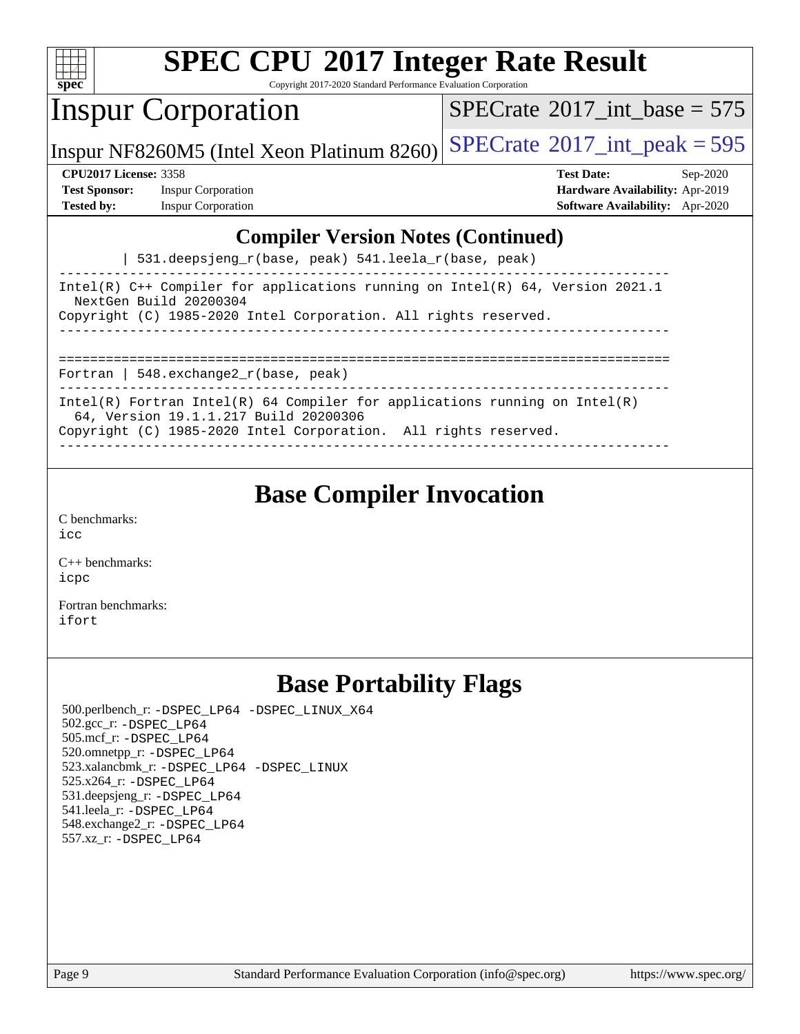

Copyright 2017-2020 Standard Performance Evaluation Corporation

## Inspur Corporation

 $SPECTate$ <sup>®</sup>[2017\\_int\\_base =](http://www.spec.org/auto/cpu2017/Docs/result-fields.html#SPECrate2017intbase) 575

Inspur NF8260M5 (Intel Xeon Platinum 8260)  $SPECrate^{\circ}2017\_int\_peak = 595$  $SPECrate^{\circ}2017\_int\_peak = 595$ 

**[Test Sponsor:](http://www.spec.org/auto/cpu2017/Docs/result-fields.html#TestSponsor)** Inspur Corporation **[Hardware Availability:](http://www.spec.org/auto/cpu2017/Docs/result-fields.html#HardwareAvailability)** Apr-2019 **[Tested by:](http://www.spec.org/auto/cpu2017/Docs/result-fields.html#Testedby)** Inspur Corporation **[Software Availability:](http://www.spec.org/auto/cpu2017/Docs/result-fields.html#SoftwareAvailability)** Apr-2020

**[CPU2017 License:](http://www.spec.org/auto/cpu2017/Docs/result-fields.html#CPU2017License)** 3358 **[Test Date:](http://www.spec.org/auto/cpu2017/Docs/result-fields.html#TestDate)** Sep-2020

## **[Compiler Version Notes \(Continued\)](http://www.spec.org/auto/cpu2017/Docs/result-fields.html#CompilerVersionNotes)**

| 531.deepsjeng\_r(base, peak) 541.leela\_r(base, peak)

------------------------------------------------------------------------------ Intel(R) C++ Compiler for applications running on Intel(R) 64, Version 2021.1 NextGen Build 20200304 Copyright (C) 1985-2020 Intel Corporation. All rights reserved. ------------------------------------------------------------------------------

==============================================================================

Fortran | 548.exchange2\_r(base, peak)

------------------------------------------------------------------------------ Intel(R) Fortran Intel(R) 64 Compiler for applications running on Intel(R)

64, Version 19.1.1.217 Build 20200306

Copyright (C) 1985-2020 Intel Corporation. All rights reserved. ------------------------------------------------------------------------------

## **[Base Compiler Invocation](http://www.spec.org/auto/cpu2017/Docs/result-fields.html#BaseCompilerInvocation)**

[C benchmarks](http://www.spec.org/auto/cpu2017/Docs/result-fields.html#Cbenchmarks): [icc](http://www.spec.org/cpu2017/results/res2020q4/cpu2017-20200928-24046.flags.html#user_CCbase_intel_icc_66fc1ee009f7361af1fbd72ca7dcefbb700085f36577c54f309893dd4ec40d12360134090235512931783d35fd58c0460139e722d5067c5574d8eaf2b3e37e92)

[C++ benchmarks:](http://www.spec.org/auto/cpu2017/Docs/result-fields.html#CXXbenchmarks) [icpc](http://www.spec.org/cpu2017/results/res2020q4/cpu2017-20200928-24046.flags.html#user_CXXbase_intel_icpc_c510b6838c7f56d33e37e94d029a35b4a7bccf4766a728ee175e80a419847e808290a9b78be685c44ab727ea267ec2f070ec5dc83b407c0218cded6866a35d07)

[Fortran benchmarks](http://www.spec.org/auto/cpu2017/Docs/result-fields.html#Fortranbenchmarks): [ifort](http://www.spec.org/cpu2017/results/res2020q4/cpu2017-20200928-24046.flags.html#user_FCbase_intel_ifort_8111460550e3ca792625aed983ce982f94888b8b503583aa7ba2b8303487b4d8a21a13e7191a45c5fd58ff318f48f9492884d4413fa793fd88dd292cad7027ca)

## **[Base Portability Flags](http://www.spec.org/auto/cpu2017/Docs/result-fields.html#BasePortabilityFlags)**

 500.perlbench\_r: [-DSPEC\\_LP64](http://www.spec.org/cpu2017/results/res2020q4/cpu2017-20200928-24046.flags.html#b500.perlbench_r_basePORTABILITY_DSPEC_LP64) [-DSPEC\\_LINUX\\_X64](http://www.spec.org/cpu2017/results/res2020q4/cpu2017-20200928-24046.flags.html#b500.perlbench_r_baseCPORTABILITY_DSPEC_LINUX_X64) 502.gcc\_r: [-DSPEC\\_LP64](http://www.spec.org/cpu2017/results/res2020q4/cpu2017-20200928-24046.flags.html#suite_basePORTABILITY502_gcc_r_DSPEC_LP64) 505.mcf\_r: [-DSPEC\\_LP64](http://www.spec.org/cpu2017/results/res2020q4/cpu2017-20200928-24046.flags.html#suite_basePORTABILITY505_mcf_r_DSPEC_LP64) 520.omnetpp\_r: [-DSPEC\\_LP64](http://www.spec.org/cpu2017/results/res2020q4/cpu2017-20200928-24046.flags.html#suite_basePORTABILITY520_omnetpp_r_DSPEC_LP64) 523.xalancbmk\_r: [-DSPEC\\_LP64](http://www.spec.org/cpu2017/results/res2020q4/cpu2017-20200928-24046.flags.html#suite_basePORTABILITY523_xalancbmk_r_DSPEC_LP64) [-DSPEC\\_LINUX](http://www.spec.org/cpu2017/results/res2020q4/cpu2017-20200928-24046.flags.html#b523.xalancbmk_r_baseCXXPORTABILITY_DSPEC_LINUX) 525.x264\_r: [-DSPEC\\_LP64](http://www.spec.org/cpu2017/results/res2020q4/cpu2017-20200928-24046.flags.html#suite_basePORTABILITY525_x264_r_DSPEC_LP64) 531.deepsjeng\_r: [-DSPEC\\_LP64](http://www.spec.org/cpu2017/results/res2020q4/cpu2017-20200928-24046.flags.html#suite_basePORTABILITY531_deepsjeng_r_DSPEC_LP64) 541.leela\_r: [-DSPEC\\_LP64](http://www.spec.org/cpu2017/results/res2020q4/cpu2017-20200928-24046.flags.html#suite_basePORTABILITY541_leela_r_DSPEC_LP64) 548.exchange2\_r: [-DSPEC\\_LP64](http://www.spec.org/cpu2017/results/res2020q4/cpu2017-20200928-24046.flags.html#suite_basePORTABILITY548_exchange2_r_DSPEC_LP64) 557.xz\_r: [-DSPEC\\_LP64](http://www.spec.org/cpu2017/results/res2020q4/cpu2017-20200928-24046.flags.html#suite_basePORTABILITY557_xz_r_DSPEC_LP64)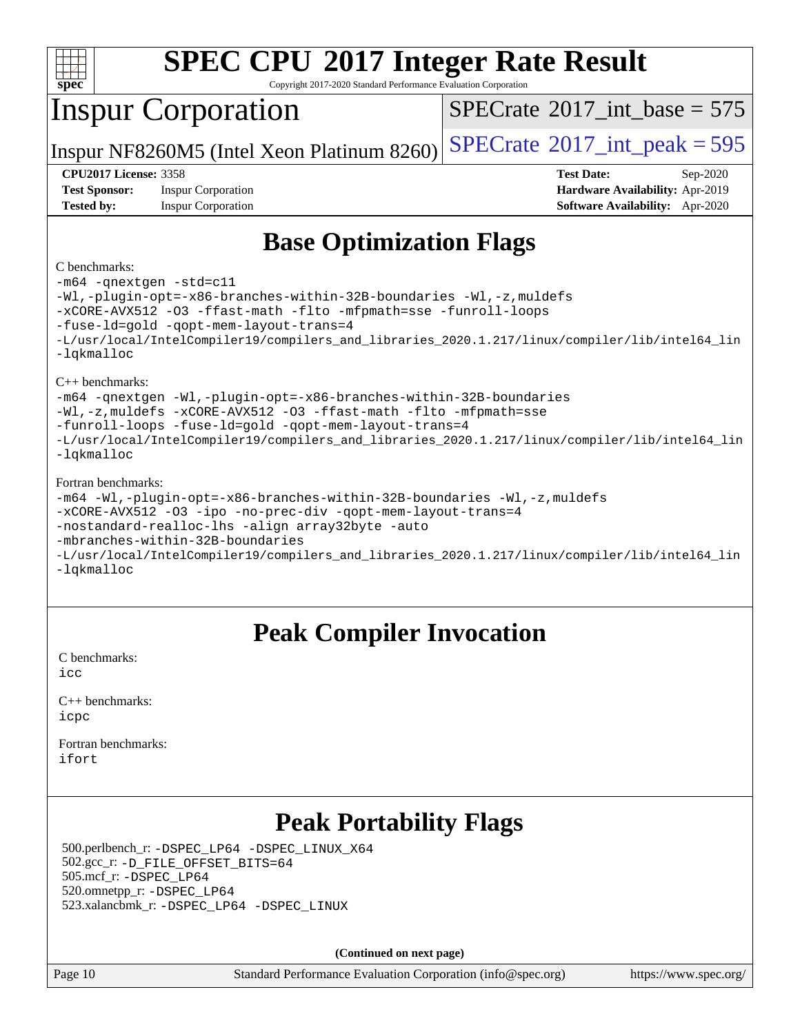

Copyright 2017-2020 Standard Performance Evaluation Corporation

## Inspur Corporation

 $SPECTate$ <sup>®</sup>[2017\\_int\\_base =](http://www.spec.org/auto/cpu2017/Docs/result-fields.html#SPECrate2017intbase) 575

Inspur NF8260M5 (Intel Xeon Platinum 8260)  $SPECrate^{\circ}2017\_int\_peak = 595$  $SPECrate^{\circ}2017\_int\_peak = 595$ 

**[Test Sponsor:](http://www.spec.org/auto/cpu2017/Docs/result-fields.html#TestSponsor)** Inspur Corporation **[Hardware Availability:](http://www.spec.org/auto/cpu2017/Docs/result-fields.html#HardwareAvailability)** Apr-2019 **[Tested by:](http://www.spec.org/auto/cpu2017/Docs/result-fields.html#Testedby)** Inspur Corporation **[Software Availability:](http://www.spec.org/auto/cpu2017/Docs/result-fields.html#SoftwareAvailability)** Apr-2020

**[CPU2017 License:](http://www.spec.org/auto/cpu2017/Docs/result-fields.html#CPU2017License)** 3358 **[Test Date:](http://www.spec.org/auto/cpu2017/Docs/result-fields.html#TestDate)** Sep-2020

## **[Base Optimization Flags](http://www.spec.org/auto/cpu2017/Docs/result-fields.html#BaseOptimizationFlags)**

#### [C benchmarks](http://www.spec.org/auto/cpu2017/Docs/result-fields.html#Cbenchmarks):

[-m64](http://www.spec.org/cpu2017/results/res2020q4/cpu2017-20200928-24046.flags.html#user_CCbase_m64-icc) [-qnextgen](http://www.spec.org/cpu2017/results/res2020q4/cpu2017-20200928-24046.flags.html#user_CCbase_f-qnextgen) [-std=c11](http://www.spec.org/cpu2017/results/res2020q4/cpu2017-20200928-24046.flags.html#user_CCbase_std-icc-std_0e1c27790398a4642dfca32ffe6c27b5796f9c2d2676156f2e42c9c44eaad0c049b1cdb667a270c34d979996257aeb8fc440bfb01818dbc9357bd9d174cb8524) [-Wl,-plugin-opt=-x86-branches-within-32B-boundaries](http://www.spec.org/cpu2017/results/res2020q4/cpu2017-20200928-24046.flags.html#user_CCbase_f-x86-branches-within-32B-boundaries_0098b4e4317ae60947b7b728078a624952a08ac37a3c797dfb4ffeb399e0c61a9dd0f2f44ce917e9361fb9076ccb15e7824594512dd315205382d84209e912f3) [-Wl,-z,muldefs](http://www.spec.org/cpu2017/results/res2020q4/cpu2017-20200928-24046.flags.html#user_CCbase_link_force_multiple1_b4cbdb97b34bdee9ceefcfe54f4c8ea74255f0b02a4b23e853cdb0e18eb4525ac79b5a88067c842dd0ee6996c24547a27a4b99331201badda8798ef8a743f577) [-xCORE-AVX512](http://www.spec.org/cpu2017/results/res2020q4/cpu2017-20200928-24046.flags.html#user_CCbase_f-xCORE-AVX512) [-O3](http://www.spec.org/cpu2017/results/res2020q4/cpu2017-20200928-24046.flags.html#user_CCbase_f-O3) [-ffast-math](http://www.spec.org/cpu2017/results/res2020q4/cpu2017-20200928-24046.flags.html#user_CCbase_f-ffast-math) [-flto](http://www.spec.org/cpu2017/results/res2020q4/cpu2017-20200928-24046.flags.html#user_CCbase_f-flto) [-mfpmath=sse](http://www.spec.org/cpu2017/results/res2020q4/cpu2017-20200928-24046.flags.html#user_CCbase_f-mfpmath_70eb8fac26bde974f8ab713bc9086c5621c0b8d2f6c86f38af0bd7062540daf19db5f3a066d8c6684be05d84c9b6322eb3b5be6619d967835195b93d6c02afa1) [-funroll-loops](http://www.spec.org/cpu2017/results/res2020q4/cpu2017-20200928-24046.flags.html#user_CCbase_f-funroll-loops) [-fuse-ld=gold](http://www.spec.org/cpu2017/results/res2020q4/cpu2017-20200928-24046.flags.html#user_CCbase_f-fuse-ld_920b3586e2b8c6e0748b9c84fa9b744736ba725a32cab14ad8f3d4ad28eecb2f59d1144823d2e17006539a88734fe1fc08fc3035f7676166309105a78aaabc32) [-qopt-mem-layout-trans=4](http://www.spec.org/cpu2017/results/res2020q4/cpu2017-20200928-24046.flags.html#user_CCbase_f-qopt-mem-layout-trans_fa39e755916c150a61361b7846f310bcdf6f04e385ef281cadf3647acec3f0ae266d1a1d22d972a7087a248fd4e6ca390a3634700869573d231a252c784941a8) [-L/usr/local/IntelCompiler19/compilers\\_and\\_libraries\\_2020.1.217/linux/compiler/lib/intel64\\_lin](http://www.spec.org/cpu2017/results/res2020q4/cpu2017-20200928-24046.flags.html#user_CCbase_linkpath_2cb6f503891ebf8baee7515f4e7d4ec1217444d1d05903cc0091ac4158de400651d2b2313a9fa414cb8a8f0e16ab029634f5c6db340f400369c190d4db8a54a0) [-lqkmalloc](http://www.spec.org/cpu2017/results/res2020q4/cpu2017-20200928-24046.flags.html#user_CCbase_qkmalloc_link_lib_79a818439969f771c6bc311cfd333c00fc099dad35c030f5aab9dda831713d2015205805422f83de8875488a2991c0a156aaa600e1f9138f8fc37004abc96dc5) [C++ benchmarks](http://www.spec.org/auto/cpu2017/Docs/result-fields.html#CXXbenchmarks): [-m64](http://www.spec.org/cpu2017/results/res2020q4/cpu2017-20200928-24046.flags.html#user_CXXbase_m64-icc) [-qnextgen](http://www.spec.org/cpu2017/results/res2020q4/cpu2017-20200928-24046.flags.html#user_CXXbase_f-qnextgen) [-Wl,-plugin-opt=-x86-branches-within-32B-boundaries](http://www.spec.org/cpu2017/results/res2020q4/cpu2017-20200928-24046.flags.html#user_CXXbase_f-x86-branches-within-32B-boundaries_0098b4e4317ae60947b7b728078a624952a08ac37a3c797dfb4ffeb399e0c61a9dd0f2f44ce917e9361fb9076ccb15e7824594512dd315205382d84209e912f3) [-Wl,-z,muldefs](http://www.spec.org/cpu2017/results/res2020q4/cpu2017-20200928-24046.flags.html#user_CXXbase_link_force_multiple1_b4cbdb97b34bdee9ceefcfe54f4c8ea74255f0b02a4b23e853cdb0e18eb4525ac79b5a88067c842dd0ee6996c24547a27a4b99331201badda8798ef8a743f577) [-xCORE-AVX512](http://www.spec.org/cpu2017/results/res2020q4/cpu2017-20200928-24046.flags.html#user_CXXbase_f-xCORE-AVX512) [-O3](http://www.spec.org/cpu2017/results/res2020q4/cpu2017-20200928-24046.flags.html#user_CXXbase_f-O3) [-ffast-math](http://www.spec.org/cpu2017/results/res2020q4/cpu2017-20200928-24046.flags.html#user_CXXbase_f-ffast-math) [-flto](http://www.spec.org/cpu2017/results/res2020q4/cpu2017-20200928-24046.flags.html#user_CXXbase_f-flto) [-mfpmath=sse](http://www.spec.org/cpu2017/results/res2020q4/cpu2017-20200928-24046.flags.html#user_CXXbase_f-mfpmath_70eb8fac26bde974f8ab713bc9086c5621c0b8d2f6c86f38af0bd7062540daf19db5f3a066d8c6684be05d84c9b6322eb3b5be6619d967835195b93d6c02afa1) [-funroll-loops](http://www.spec.org/cpu2017/results/res2020q4/cpu2017-20200928-24046.flags.html#user_CXXbase_f-funroll-loops) [-fuse-ld=gold](http://www.spec.org/cpu2017/results/res2020q4/cpu2017-20200928-24046.flags.html#user_CXXbase_f-fuse-ld_920b3586e2b8c6e0748b9c84fa9b744736ba725a32cab14ad8f3d4ad28eecb2f59d1144823d2e17006539a88734fe1fc08fc3035f7676166309105a78aaabc32) [-qopt-mem-layout-trans=4](http://www.spec.org/cpu2017/results/res2020q4/cpu2017-20200928-24046.flags.html#user_CXXbase_f-qopt-mem-layout-trans_fa39e755916c150a61361b7846f310bcdf6f04e385ef281cadf3647acec3f0ae266d1a1d22d972a7087a248fd4e6ca390a3634700869573d231a252c784941a8) [-L/usr/local/IntelCompiler19/compilers\\_and\\_libraries\\_2020.1.217/linux/compiler/lib/intel64\\_lin](http://www.spec.org/cpu2017/results/res2020q4/cpu2017-20200928-24046.flags.html#user_CXXbase_linkpath_2cb6f503891ebf8baee7515f4e7d4ec1217444d1d05903cc0091ac4158de400651d2b2313a9fa414cb8a8f0e16ab029634f5c6db340f400369c190d4db8a54a0) [-lqkmalloc](http://www.spec.org/cpu2017/results/res2020q4/cpu2017-20200928-24046.flags.html#user_CXXbase_qkmalloc_link_lib_79a818439969f771c6bc311cfd333c00fc099dad35c030f5aab9dda831713d2015205805422f83de8875488a2991c0a156aaa600e1f9138f8fc37004abc96dc5) [Fortran benchmarks](http://www.spec.org/auto/cpu2017/Docs/result-fields.html#Fortranbenchmarks): [-m64](http://www.spec.org/cpu2017/results/res2020q4/cpu2017-20200928-24046.flags.html#user_FCbase_m64-icc) [-Wl,-plugin-opt=-x86-branches-within-32B-boundaries](http://www.spec.org/cpu2017/results/res2020q4/cpu2017-20200928-24046.flags.html#user_FCbase_f-x86-branches-within-32B-boundaries_0098b4e4317ae60947b7b728078a624952a08ac37a3c797dfb4ffeb399e0c61a9dd0f2f44ce917e9361fb9076ccb15e7824594512dd315205382d84209e912f3) [-Wl,-z,muldefs](http://www.spec.org/cpu2017/results/res2020q4/cpu2017-20200928-24046.flags.html#user_FCbase_link_force_multiple1_b4cbdb97b34bdee9ceefcfe54f4c8ea74255f0b02a4b23e853cdb0e18eb4525ac79b5a88067c842dd0ee6996c24547a27a4b99331201badda8798ef8a743f577) [-xCORE-AVX512](http://www.spec.org/cpu2017/results/res2020q4/cpu2017-20200928-24046.flags.html#user_FCbase_f-xCORE-AVX512) [-O3](http://www.spec.org/cpu2017/results/res2020q4/cpu2017-20200928-24046.flags.html#user_FCbase_f-O3) [-ipo](http://www.spec.org/cpu2017/results/res2020q4/cpu2017-20200928-24046.flags.html#user_FCbase_f-ipo) [-no-prec-div](http://www.spec.org/cpu2017/results/res2020q4/cpu2017-20200928-24046.flags.html#user_FCbase_f-no-prec-div) [-qopt-mem-layout-trans=4](http://www.spec.org/cpu2017/results/res2020q4/cpu2017-20200928-24046.flags.html#user_FCbase_f-qopt-mem-layout-trans_fa39e755916c150a61361b7846f310bcdf6f04e385ef281cadf3647acec3f0ae266d1a1d22d972a7087a248fd4e6ca390a3634700869573d231a252c784941a8) [-nostandard-realloc-lhs](http://www.spec.org/cpu2017/results/res2020q4/cpu2017-20200928-24046.flags.html#user_FCbase_f_2003_std_realloc_82b4557e90729c0f113870c07e44d33d6f5a304b4f63d4c15d2d0f1fab99f5daaed73bdb9275d9ae411527f28b936061aa8b9c8f2d63842963b95c9dd6426b8a) [-align array32byte](http://www.spec.org/cpu2017/results/res2020q4/cpu2017-20200928-24046.flags.html#user_FCbase_align_array32byte_b982fe038af199962ba9a80c053b8342c548c85b40b8e86eb3cc33dee0d7986a4af373ac2d51c3f7cf710a18d62fdce2948f201cd044323541f22fc0fffc51b6) [-auto](http://www.spec.org/cpu2017/results/res2020q4/cpu2017-20200928-24046.flags.html#user_FCbase_f-auto) [-mbranches-within-32B-boundaries](http://www.spec.org/cpu2017/results/res2020q4/cpu2017-20200928-24046.flags.html#user_FCbase_f-mbranches-within-32B-boundaries)

[-L/usr/local/IntelCompiler19/compilers\\_and\\_libraries\\_2020.1.217/linux/compiler/lib/intel64\\_lin](http://www.spec.org/cpu2017/results/res2020q4/cpu2017-20200928-24046.flags.html#user_FCbase_linkpath_2cb6f503891ebf8baee7515f4e7d4ec1217444d1d05903cc0091ac4158de400651d2b2313a9fa414cb8a8f0e16ab029634f5c6db340f400369c190d4db8a54a0) [-lqkmalloc](http://www.spec.org/cpu2017/results/res2020q4/cpu2017-20200928-24046.flags.html#user_FCbase_qkmalloc_link_lib_79a818439969f771c6bc311cfd333c00fc099dad35c030f5aab9dda831713d2015205805422f83de8875488a2991c0a156aaa600e1f9138f8fc37004abc96dc5)

## **[Peak Compiler Invocation](http://www.spec.org/auto/cpu2017/Docs/result-fields.html#PeakCompilerInvocation)**

[C benchmarks](http://www.spec.org/auto/cpu2017/Docs/result-fields.html#Cbenchmarks):  $i$ cc

[C++ benchmarks:](http://www.spec.org/auto/cpu2017/Docs/result-fields.html#CXXbenchmarks) [icpc](http://www.spec.org/cpu2017/results/res2020q4/cpu2017-20200928-24046.flags.html#user_CXXpeak_intel_icpc_c510b6838c7f56d33e37e94d029a35b4a7bccf4766a728ee175e80a419847e808290a9b78be685c44ab727ea267ec2f070ec5dc83b407c0218cded6866a35d07)

[Fortran benchmarks](http://www.spec.org/auto/cpu2017/Docs/result-fields.html#Fortranbenchmarks): [ifort](http://www.spec.org/cpu2017/results/res2020q4/cpu2017-20200928-24046.flags.html#user_FCpeak_intel_ifort_8111460550e3ca792625aed983ce982f94888b8b503583aa7ba2b8303487b4d8a21a13e7191a45c5fd58ff318f48f9492884d4413fa793fd88dd292cad7027ca)

# **[Peak Portability Flags](http://www.spec.org/auto/cpu2017/Docs/result-fields.html#PeakPortabilityFlags)**

 500.perlbench\_r: [-DSPEC\\_LP64](http://www.spec.org/cpu2017/results/res2020q4/cpu2017-20200928-24046.flags.html#b500.perlbench_r_peakPORTABILITY_DSPEC_LP64) [-DSPEC\\_LINUX\\_X64](http://www.spec.org/cpu2017/results/res2020q4/cpu2017-20200928-24046.flags.html#b500.perlbench_r_peakCPORTABILITY_DSPEC_LINUX_X64) 502.gcc\_r: [-D\\_FILE\\_OFFSET\\_BITS=64](http://www.spec.org/cpu2017/results/res2020q4/cpu2017-20200928-24046.flags.html#user_peakPORTABILITY502_gcc_r_file_offset_bits_64_5ae949a99b284ddf4e95728d47cb0843d81b2eb0e18bdfe74bbf0f61d0b064f4bda2f10ea5eb90e1dcab0e84dbc592acfc5018bc955c18609f94ddb8d550002c) 505.mcf\_r: [-DSPEC\\_LP64](http://www.spec.org/cpu2017/results/res2020q4/cpu2017-20200928-24046.flags.html#suite_peakPORTABILITY505_mcf_r_DSPEC_LP64) 520.omnetpp\_r: [-DSPEC\\_LP64](http://www.spec.org/cpu2017/results/res2020q4/cpu2017-20200928-24046.flags.html#suite_peakPORTABILITY520_omnetpp_r_DSPEC_LP64) 523.xalancbmk\_r: [-DSPEC\\_LP64](http://www.spec.org/cpu2017/results/res2020q4/cpu2017-20200928-24046.flags.html#suite_peakPORTABILITY523_xalancbmk_r_DSPEC_LP64) [-DSPEC\\_LINUX](http://www.spec.org/cpu2017/results/res2020q4/cpu2017-20200928-24046.flags.html#b523.xalancbmk_r_peakCXXPORTABILITY_DSPEC_LINUX)

**(Continued on next page)**

Page 10 Standard Performance Evaluation Corporation [\(info@spec.org\)](mailto:info@spec.org) <https://www.spec.org/>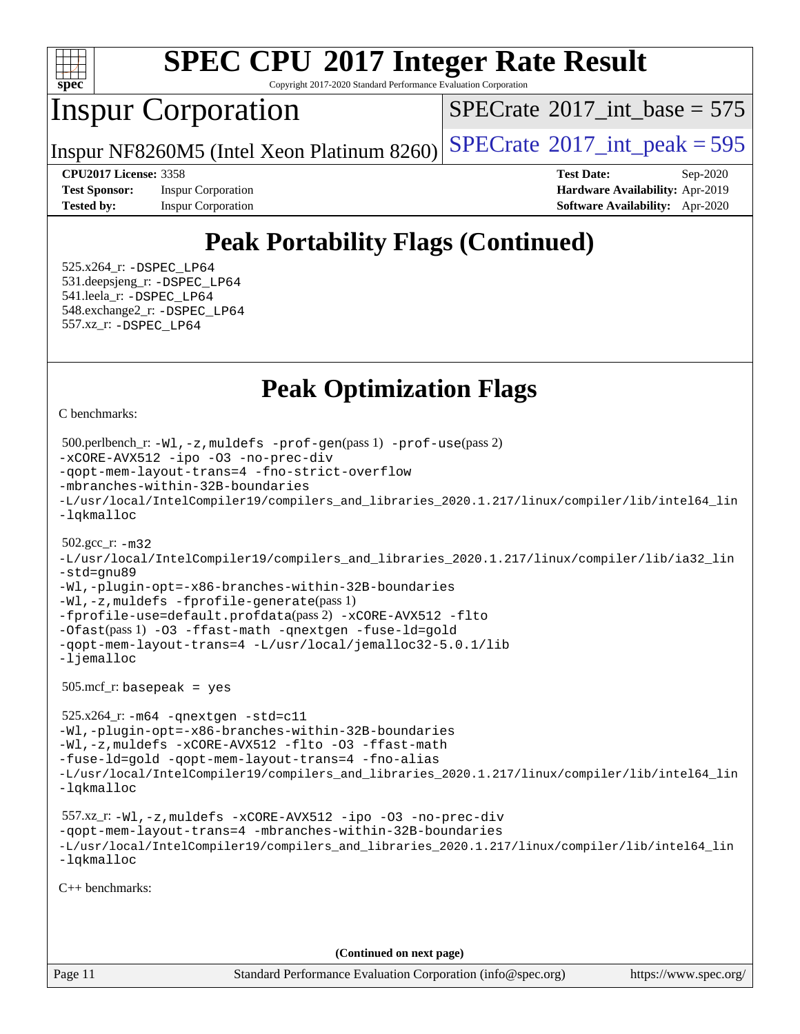

Copyright 2017-2020 Standard Performance Evaluation Corporation

## Inspur Corporation

 $SPECTate$ <sup>®</sup>[2017\\_int\\_base =](http://www.spec.org/auto/cpu2017/Docs/result-fields.html#SPECrate2017intbase) 575

Inspur NF8260M5 (Intel Xeon Platinum 8260)  $SPECrate^{\circ}2017\_int\_peak = 595$  $SPECrate^{\circ}2017\_int\_peak = 595$ 

**[Test Sponsor:](http://www.spec.org/auto/cpu2017/Docs/result-fields.html#TestSponsor)** Inspur Corporation **[Hardware Availability:](http://www.spec.org/auto/cpu2017/Docs/result-fields.html#HardwareAvailability)** Apr-2019

**[CPU2017 License:](http://www.spec.org/auto/cpu2017/Docs/result-fields.html#CPU2017License)** 3358 **[Test Date:](http://www.spec.org/auto/cpu2017/Docs/result-fields.html#TestDate)** Sep-2020 **[Tested by:](http://www.spec.org/auto/cpu2017/Docs/result-fields.html#Testedby)** Inspur Corporation **[Software Availability:](http://www.spec.org/auto/cpu2017/Docs/result-fields.html#SoftwareAvailability)** Apr-2020

# **[Peak Portability Flags \(Continued\)](http://www.spec.org/auto/cpu2017/Docs/result-fields.html#PeakPortabilityFlags)**

 525.x264\_r: [-DSPEC\\_LP64](http://www.spec.org/cpu2017/results/res2020q4/cpu2017-20200928-24046.flags.html#suite_peakPORTABILITY525_x264_r_DSPEC_LP64) 531.deepsjeng\_r: [-DSPEC\\_LP64](http://www.spec.org/cpu2017/results/res2020q4/cpu2017-20200928-24046.flags.html#suite_peakPORTABILITY531_deepsjeng_r_DSPEC_LP64) 541.leela\_r: [-DSPEC\\_LP64](http://www.spec.org/cpu2017/results/res2020q4/cpu2017-20200928-24046.flags.html#suite_peakPORTABILITY541_leela_r_DSPEC_LP64) 548.exchange2\_r: [-DSPEC\\_LP64](http://www.spec.org/cpu2017/results/res2020q4/cpu2017-20200928-24046.flags.html#suite_peakPORTABILITY548_exchange2_r_DSPEC_LP64) 557.xz\_r: [-DSPEC\\_LP64](http://www.spec.org/cpu2017/results/res2020q4/cpu2017-20200928-24046.flags.html#suite_peakPORTABILITY557_xz_r_DSPEC_LP64)

## **[Peak Optimization Flags](http://www.spec.org/auto/cpu2017/Docs/result-fields.html#PeakOptimizationFlags)**

[C benchmarks](http://www.spec.org/auto/cpu2017/Docs/result-fields.html#Cbenchmarks):

```
Page 11 Standard Performance Evaluation Corporation (info@spec.org) https://www.spec.org/
  500.perlbench_r: -Wl,-z,muldefs -prof-gen(pass 1) -prof-use(pass 2)
-xCORE-AVX512 -ipo -O3 -no-prec-div
-qopt-mem-layout-trans=4 -fno-strict-overflow
-mbranches-within-32B-boundaries
-L/usr/local/IntelCompiler19/compilers_and_libraries_2020.1.217/linux/compiler/lib/intel64_lin
-lqkmalloc
  502.gcc_r: -m32
-L/usr/local/IntelCompiler19/compilers_and_libraries_2020.1.217/linux/compiler/lib/ia32_lin
-std=gnu89
-Wl,-plugin-opt=-x86-branches-within-32B-boundaries
-Wl,-z,muldefs -fprofile-generate(pass 1)
-fprofile-use=default.profdata(pass 2) -xCORE-AVX512 -flto
-Ofast(pass 1) -O3 -ffast-math -qnextgen -fuse-ld=gold
-qopt-mem-layout-trans=4 -L/usr/local/jemalloc32-5.0.1/lib
-ljemalloc
  505.mcf_r: basepeak = yes
  525.x264_r: -m64 -qnextgen -std=c11
-Wl,-plugin-opt=-x86-branches-within-32B-boundaries
-Wl,-z,muldefs -xCORE-AVX512 -flto -O3 -ffast-math
-fuse-ld=gold -qopt-mem-layout-trans=4 -fno-alias
-L/usr/local/IntelCompiler19/compilers_and_libraries_2020.1.217/linux/compiler/lib/intel64_lin
-lqkmalloc
  557.xz_r: -Wl,-z,muldefs -xCORE-AVX512 -ipo -O3 -no-prec-div
-qopt-mem-layout-trans=4 -mbranches-within-32B-boundaries
-L/usr/local/IntelCompiler19/compilers_and_libraries_2020.1.217/linux/compiler/lib/intel64_lin
-lqkmalloc
C++ benchmarks: 
                                       (Continued on next page)
```